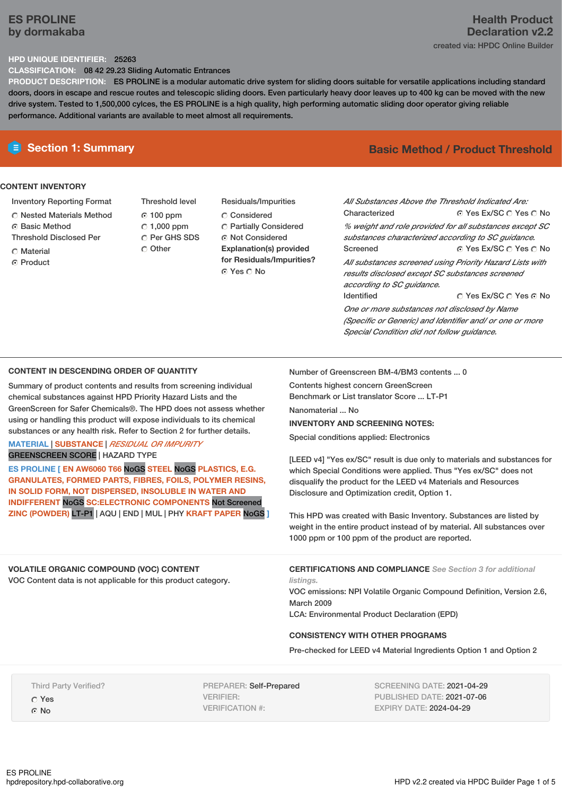# **ES PROLINE by dormakaba**

## **Health Product Declaration v2.2** created via: HPDC Online Builder

## **HPD UNIQUE IDENTIFIER:** 25263

**CLASSIFICATION:** 08 42 29.23 Sliding Automatic Entrances

**PRODUCT DESCRIPTION:** ES PROLINE is a modular automatic drive system for sliding doors suitable for versatile applications including standard doors, doors in escape and rescue routes and telescopic sliding doors. Even particularly heavy door leaves up to 400 kg can be moved with the new drive system. Tested to 1,500,000 cylces, the ES PROLINE is a high quality, high performing automatic sliding door operator giving reliable performance. Additional variants are available to meet almost all requirements.

## **CONTENT INVENTORY**

- Inventory Reporting Format
- Nested Materials Method
- **G** Basic Method
- Threshold Disclosed Per
- **C** Material
- C Product
- Threshold level  $0.100$  ppm  $C$  1,000 ppm C Per GHS SDS Other
- Residuals/Impurities C Considered Partially Considered Not Considered **Explanation(s) provided for Residuals/Impurities?** © Yes ∩ No

# **E** Section 1: Summary **Basic Method /** Product Threshold

© Yes Ex/SC C Yes C No © Yes Ex/SC  $\bigcirc$  Yes  $\bigcirc$  No © Yes Ex/SC © Yes © No *All Substances Above the Threshold Indicated Are:* Characterized *% weight and role provided for all substances except SC substances characterized according to SC guidance.* Screened *All substances screened using Priority Hazard Lists with results disclosed except SC substances screened according to SC guidance.* Identified

*One or more substances not disclosed by Name (Specific or Generic) and Identifier and/ or one or more Special Condition did not follow guidance.*

### **CONTENT IN DESCENDING ORDER OF QUANTITY**

Summary of product contents and results from screening individual chemical substances against HPD Priority Hazard Lists and the GreenScreen for Safer Chemicals®. The HPD does not assess whether using or handling this product will expose individuals to its chemical substances or any health risk. Refer to Section 2 for further details.

**MATERIAL** | **SUBSTANCE** | *RESIDUAL OR IMPURITY* GREENSCREEN SCORE | HAZARD TYPE

**ES PROLINE [ EN AW6060 T66** NoGS **STEEL** NoGS **PLASTICS, E.G. GRANULATES, FORMED PARTS, FIBRES, FOILS, POLYMER RESINS, IN SOLID FORM, NOT DISPERSED, INSOLUBLE IN WATER AND INDIFFERENT** NoGS **SC:ELECTRONIC COMPONENTS** Not Screened **ZINC (POWDER)** LT-P1 | AQU | END | MUL | PHY **KRAFT PAPER** NoGS **]** Number of Greenscreen BM-4/BM3 contents ... 0

Contents highest concern GreenScreen Benchmark or List translator Score ... LT-P1 Nanomaterial ... No

## **INVENTORY AND SCREENING NOTES:**

Special conditions applied: Electronics

[LEED v4] "Yes ex/SC" result is due only to materials and substances for which Special Conditions were applied. Thus "Yes ex/SC" does not disqualify the product for the LEED v4 Materials and Resources Disclosure and Optimization credit, Option 1.

This HPD was created with Basic Inventory. Substances are listed by weight in the entire product instead of by material. All substances over 1000 ppm or 100 ppm of the product are reported.

### **VOLATILE ORGANIC COMPOUND (VOC) CONTENT**

VOC Content data is not applicable for this product category.

**CERTIFICATIONS AND COMPLIANCE** *See Section 3 for additional listings.*

VOC emissions: NPI Volatile Organic Compound Definition, Version 2.6, March 2009 LCA: Environmental Product Declaration (EPD)

### **CONSISTENCY WITH OTHER PROGRAMS**

Pre-checked for LEED v4 Material Ingredients Option 1 and Option 2

Third Party Verified?

Yes G No

PREPARER: Self-Prepared VERIFIER: VERIFICATION #:

SCREENING DATE: 2021-04-29 PUBLISHED DATE: 2021-07-06 EXPIRY DATE: 2024-04-29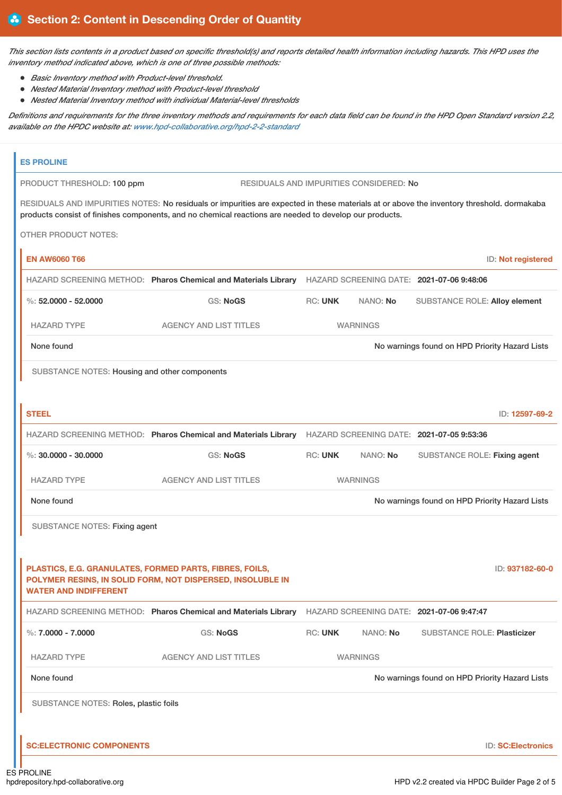This section lists contents in a product based on specific threshold(s) and reports detailed health information including hazards. This HPD uses the *inventory method indicated above, which is one of three possible methods:*

- *Basic Inventory method with Product-level threshold.*
- *Nested Material Inventory method with Product-level threshold*
- *Nested Material Inventory method with individual Material-level thresholds*

Definitions and requirements for the three inventory methods and requirements for each data field can be found in the HPD Open Standard version 2.2, *available on the HPDC website at: [www.hpd-collaborative.org/hpd-2-2-standard](https://www.hpd-collaborative.org/hpd-2-2-standard)*

| PRODUCT THRESHOLD: 100 ppm                                                              |                                                                                                                                                                                                                                                     |                 | RESIDUALS AND IMPURITIES CONSIDERED: No |                                                |                           |
|-----------------------------------------------------------------------------------------|-----------------------------------------------------------------------------------------------------------------------------------------------------------------------------------------------------------------------------------------------------|-----------------|-----------------------------------------|------------------------------------------------|---------------------------|
|                                                                                         | RESIDUALS AND IMPURITIES NOTES: No residuals or impurities are expected in these materials at or above the inventory threshold. dormakaba<br>products consist of finishes components, and no chemical reactions are needed to develop our products. |                 |                                         |                                                |                           |
| <b>OTHER PRODUCT NOTES:</b>                                                             |                                                                                                                                                                                                                                                     |                 |                                         |                                                |                           |
| <b>EN AW6060 T66</b>                                                                    |                                                                                                                                                                                                                                                     |                 |                                         |                                                | ID: Not registered        |
|                                                                                         | HAZARD SCREENING METHOD: Pharos Chemical and Materials Library                                                                                                                                                                                      |                 |                                         | HAZARD SCREENING DATE: 2021-07-06 9:48:06      |                           |
| $\%$ : 52,0000 - 52,0000                                                                | <b>GS: NoGS</b>                                                                                                                                                                                                                                     | <b>RC: UNK</b>  | NANO: No                                | <b>SUBSTANCE ROLE: Alloy element</b>           |                           |
| <b>HAZARD TYPE</b>                                                                      | <b>AGENCY AND LIST TITLES</b>                                                                                                                                                                                                                       |                 | <b>WARNINGS</b>                         |                                                |                           |
| None found                                                                              |                                                                                                                                                                                                                                                     |                 |                                         | No warnings found on HPD Priority Hazard Lists |                           |
| SUBSTANCE NOTES: Housing and other components                                           |                                                                                                                                                                                                                                                     |                 |                                         |                                                |                           |
|                                                                                         |                                                                                                                                                                                                                                                     |                 |                                         |                                                |                           |
| <b>STEEL</b>                                                                            |                                                                                                                                                                                                                                                     |                 |                                         |                                                | ID: 12597-69-2            |
|                                                                                         | HAZARD SCREENING METHOD: Pharos Chemical and Materials Library                                                                                                                                                                                      |                 |                                         | HAZARD SCREENING DATE: 2021-07-05 9:53:36      |                           |
| $\%$ : 30,0000 - 30,0000                                                                | <b>GS: NoGS</b>                                                                                                                                                                                                                                     | <b>RC: UNK</b>  | NANO: No                                | SUBSTANCE ROLE: Fixing agent                   |                           |
| <b>HAZARD TYPE</b>                                                                      | <b>AGENCY AND LIST TITLES</b>                                                                                                                                                                                                                       | <b>WARNINGS</b> |                                         |                                                |                           |
| None found                                                                              |                                                                                                                                                                                                                                                     |                 |                                         | No warnings found on HPD Priority Hazard Lists |                           |
| <b>SUBSTANCE NOTES: Fixing agent</b>                                                    |                                                                                                                                                                                                                                                     |                 |                                         |                                                |                           |
|                                                                                         |                                                                                                                                                                                                                                                     |                 |                                         |                                                |                           |
| PLASTICS, E.G. GRANULATES, FORMED PARTS, FIBRES, FOILS,<br><b>WATER AND INDIFFERENT</b> | POLYMER RESINS, IN SOLID FORM, NOT DISPERSED, INSOLUBLE IN                                                                                                                                                                                          |                 |                                         |                                                | ID: 937182-60-0           |
|                                                                                         | HAZARD SCREENING METHOD: Pharos Chemical and Materials Library                                                                                                                                                                                      |                 |                                         | HAZARD SCREENING DATE: 2021-07-06 9:47:47      |                           |
| %: $7,0000 - 7,0000$                                                                    | <b>GS: NoGS</b>                                                                                                                                                                                                                                     | <b>RC: UNK</b>  | NANO: No                                | <b>SUBSTANCE ROLE: Plasticizer</b>             |                           |
| <b>HAZARD TYPE</b>                                                                      | <b>AGENCY AND LIST TITLES</b>                                                                                                                                                                                                                       |                 | <b>WARNINGS</b>                         |                                                |                           |
| None found                                                                              |                                                                                                                                                                                                                                                     |                 |                                         | No warnings found on HPD Priority Hazard Lists |                           |
| SUBSTANCE NOTES: Roles, plastic foils                                                   |                                                                                                                                                                                                                                                     |                 |                                         |                                                |                           |
| <b>SC:ELECTRONIC COMPONENTS</b>                                                         |                                                                                                                                                                                                                                                     |                 |                                         |                                                | <b>ID: SC:Electronics</b> |
|                                                                                         |                                                                                                                                                                                                                                                     |                 |                                         |                                                |                           |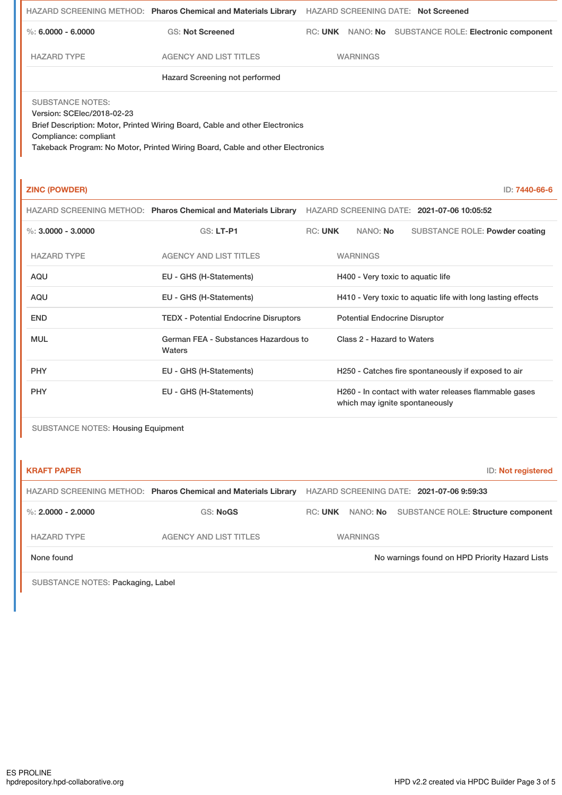|                                                                                | HAZARD SCREENING METHOD: Pharos Chemical and Materials Library                                                                                               | <b>HAZARD SCREENING DATE: Not Screened</b> |                 |                                               |               |
|--------------------------------------------------------------------------------|--------------------------------------------------------------------------------------------------------------------------------------------------------------|--------------------------------------------|-----------------|-----------------------------------------------|---------------|
| $\%$ : 6.0000 - 6.0000                                                         | <b>GS: Not Screened</b>                                                                                                                                      | RC: UNK                                    |                 | NANO: No SUBSTANCE ROLE: Electronic component |               |
| <b>HAZARD TYPE</b>                                                             | <b>AGENCY AND LIST TITLES</b>                                                                                                                                |                                            | <b>WARNINGS</b> |                                               |               |
|                                                                                | Hazard Screening not performed                                                                                                                               |                                            |                 |                                               |               |
| <b>SUBSTANCE NOTES:</b><br>Version: SCElec/2018-02-23<br>Compliance: compliant | Brief Description: Motor, Printed Wiring Board, Cable and other Electronics<br>Takeback Program: No Motor, Printed Wiring Board, Cable and other Electronics |                                            |                 |                                               |               |
| <b>ZINC (POWDER)</b>                                                           |                                                                                                                                                              |                                            |                 |                                               | ID: 7440-66-6 |
|                                                                                | HAZARD SCREENING METHOD: Pharos Chemical and Materials Library                                                                                               |                                            |                 | HAZARD SCREENING DATE: 2021-07-06 10:05:52    |               |

| %: $3.0000 - 3.0000$ | <b>GS: LT-P1</b>                               | <b>RC: UNK</b> | NANO: <b>No</b>                      | SUBSTANCE ROLE: Powder coating                              |
|----------------------|------------------------------------------------|----------------|--------------------------------------|-------------------------------------------------------------|
| <b>HAZARD TYPE</b>   | <b>AGENCY AND LIST TITLES</b>                  |                | <b>WARNINGS</b>                      |                                                             |
| AQU                  | EU - GHS (H-Statements)                        |                | H400 - Very toxic to aquatic life    |                                                             |
| AQU                  | EU - GHS (H-Statements)                        |                |                                      | H410 - Very toxic to aquatic life with long lasting effects |
| <b>END</b>           | <b>TEDX - Potential Endocrine Disruptors</b>   |                | <b>Potential Endocrine Disruptor</b> |                                                             |
| <b>MUL</b>           | German FEA - Substances Hazardous to<br>Waters |                | Class 2 - Hazard to Waters           |                                                             |
| <b>PHY</b>           | EU - GHS (H-Statements)                        |                |                                      | H250 - Catches fire spontaneously if exposed to air         |
| <b>PHY</b>           | EU - GHS (H-Statements)                        |                | which may ignite spontaneously       | H260 - In contact with water releases flammable gases       |

SUBSTANCE NOTES: Housing Equipment

| <b>KRAFT PAPER</b>   |                                                                |                                           |                 | ID: Not registered                             |
|----------------------|----------------------------------------------------------------|-------------------------------------------|-----------------|------------------------------------------------|
|                      | HAZARD SCREENING METHOD: Pharos Chemical and Materials Library | HAZARD SCREENING DATE: 2021-07-06 9:59:33 |                 |                                                |
| %: $2.0000 - 2.0000$ | <b>GS: NoGS</b>                                                | <b>RC: UNK</b>                            |                 | NANO: No SUBSTANCE ROLE: Structure component   |
| <b>HAZARD TYPE</b>   | AGENCY AND LIST TITLES                                         |                                           | <b>WARNINGS</b> |                                                |
| None found           |                                                                |                                           |                 | No warnings found on HPD Priority Hazard Lists |

SUBSTANCE NOTES: Packaging, Label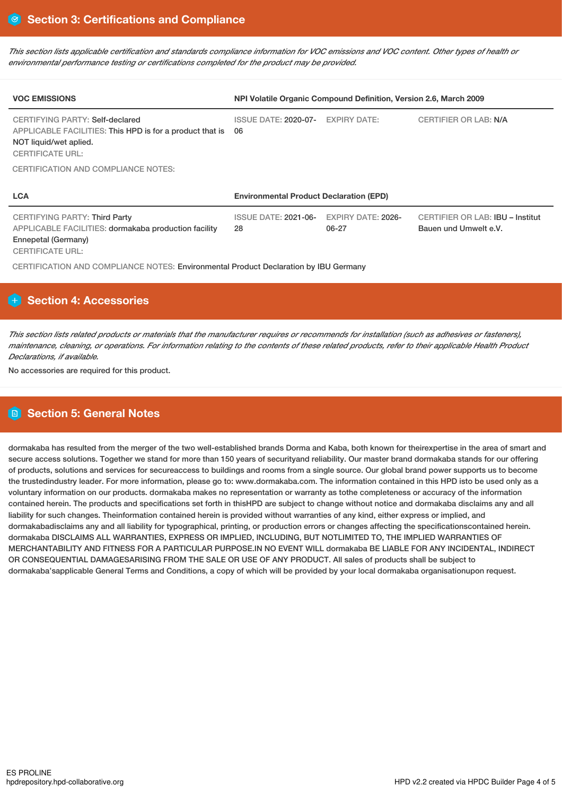This section lists applicable certification and standards compliance information for VOC emissions and VOC content. Other types of health or *environmental performance testing or certifications completed for the product may be provided.*

| <b>VOC EMISSIONS</b>                                                                                                                             | NPI Volatile Organic Compound Definition, Version 2.6, March 2009 |                                    |                                                           |  |
|--------------------------------------------------------------------------------------------------------------------------------------------------|-------------------------------------------------------------------|------------------------------------|-----------------------------------------------------------|--|
| CERTIFYING PARTY: Self-declared<br>APPLICABLE FACILITIES: This HPD is for a product that is<br>NOT liquid/wet aplied.<br><b>CERTIFICATE URL:</b> | <b>ISSUE DATE: 2020-07-</b><br>06                                 | <b>EXPIRY DATE:</b>                | <b>CERTIFIER OR LAB: N/A</b>                              |  |
| <b>CERTIFICATION AND COMPLIANCE NOTES:</b>                                                                                                       |                                                                   |                                    |                                                           |  |
| <b>LCA</b>                                                                                                                                       | <b>Environmental Product Declaration (EPD)</b>                    |                                    |                                                           |  |
| CERTIFYING PARTY: Third Party<br>APPLICABLE FACILITIES: dormakaba production facility<br>Ennepetal (Germany)<br><b>CERTIFICATE URL:</b>          | <b>ISSUE DATE: 2021-06-</b><br>28                                 | <b>EXPIRY DATE: 2026-</b><br>06-27 | CERTIFIER OR LAB: IBU - Institut<br>Bauen und Umwelt e.V. |  |
| CERTIFICATION AND COMPLIANCE NOTES: Environmental Product Declaration by IBU Germany                                                             |                                                                   |                                    |                                                           |  |

# **Section 4: Accessories**

This section lists related products or materials that the manufacturer requires or recommends for installation (such as adhesives or fasteners), maintenance, cleaning, or operations. For information relating to the contents of these related products, refer to their applicable Health Product *Declarations, if available.*

No accessories are required for this product.

# **Section 5: General Notes**

dormakaba has resulted from the merger of the two well-established brands Dorma and Kaba, both known for theirexpertise in the area of smart and secure access solutions. Together we stand for more than 150 years of securityand reliability. Our master brand dormakaba stands for our offering of products, solutions and services for secureaccess to buildings and rooms from a single source. Our global brand power supports us to become the trustedindustry leader. For more information, please go to: www.dormakaba.com. The information contained in this HPD isto be used only as a voluntary information on our products. dormakaba makes no representation or warranty as tothe completeness or accuracy of the information contained herein. The products and specifications set forth in thisHPD are subject to change without notice and dormakaba disclaims any and all liability for such changes. Theinformation contained herein is provided without warranties of any kind, either express or implied, and dormakabadisclaims any and all liability for typographical, printing, or production errors or changes affecting the specificationscontained herein. dormakaba DISCLAIMS ALL WARRANTIES, EXPRESS OR IMPLIED, INCLUDING, BUT NOTLIMITED TO, THE IMPLIED WARRANTIES OF MERCHANTABILITY AND FITNESS FOR A PARTICULAR PURPOSE.IN NO EVENT WILL dormakaba BE LIABLE FOR ANY INCIDENTAL, INDIRECT OR CONSEQUENTIAL DAMAGESARISING FROM THE SALE OR USE OF ANY PRODUCT. All sales of products shall be subject to dormakaba'sapplicable General Terms and Conditions, a copy of which will be provided by your local dormakaba organisationupon request.